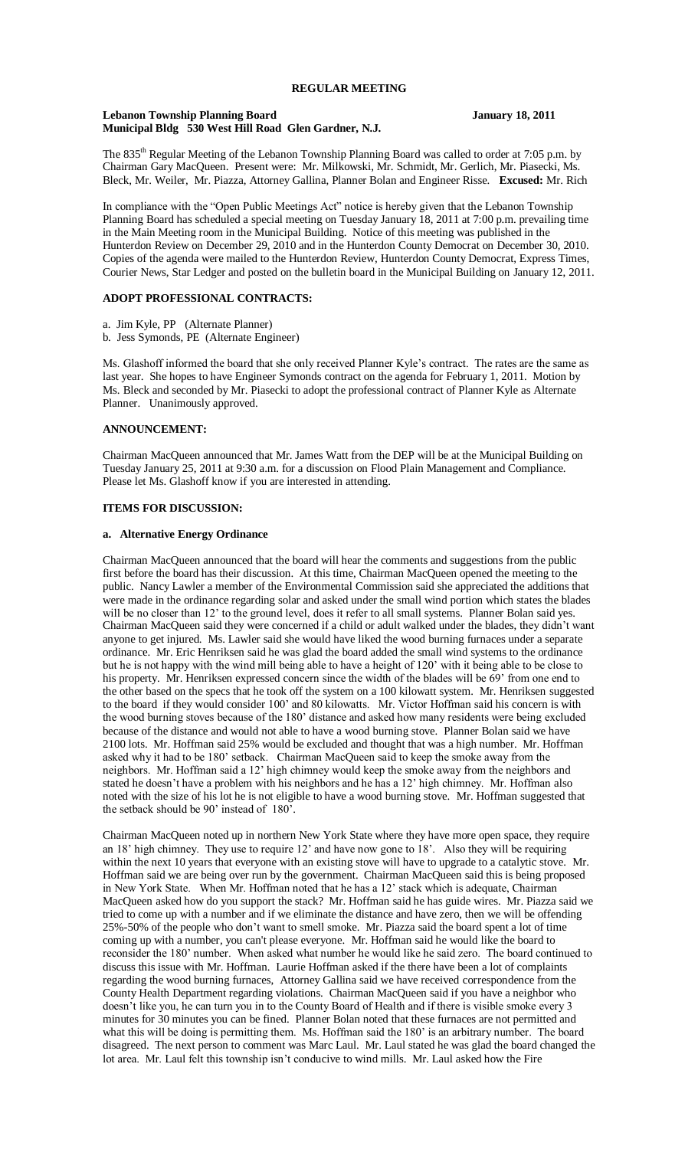#### **Lebanon Township Planning Board January 18, 2011 Municipal Bldg 530 West Hill Road Glen Gardner, N.J.**

The 835<sup>th</sup> Regular Meeting of the Lebanon Township Planning Board was called to order at 7:05 p.m. by Chairman Gary MacQueen. Present were: Mr. Milkowski, Mr. Schmidt, Mr. Gerlich, Mr. Piasecki, Ms. Bleck, Mr. Weiler, Mr. Piazza, Attorney Gallina, Planner Bolan and Engineer Risse. **Excused:** Mr. Rich

In compliance with the "Open Public Meetings Act" notice is hereby given that the Lebanon Township Planning Board has scheduled a special meeting on Tuesday January 18, 2011 at 7:00 p.m. prevailing time in the Main Meeting room in the Municipal Building. Notice of this meeting was published in the Hunterdon Review on December 29, 2010 and in the Hunterdon County Democrat on December 30, 2010. Copies of the agenda were mailed to the Hunterdon Review, Hunterdon County Democrat, Express Times, Courier News, Star Ledger and posted on the bulletin board in the Municipal Building on January 12, 2011.

## **ADOPT PROFESSIONAL CONTRACTS:**

- a. Jim Kyle, PP (Alternate Planner)
- b. Jess Symonds, PE (Alternate Engineer)

Ms. Glashoff informed the board that she only received Planner Kyle's contract. The rates are the same as last year. She hopes to have Engineer Symonds contract on the agenda for February 1, 2011. Motion by Ms. Bleck and seconded by Mr. Piasecki to adopt the professional contract of Planner Kyle as Alternate Planner. Unanimously approved.

# **ANNOUNCEMENT:**

Chairman MacQueen announced that Mr. James Watt from the DEP will be at the Municipal Building on Tuesday January 25, 2011 at 9:30 a.m. for a discussion on Flood Plain Management and Compliance. Please let Ms. Glashoff know if you are interested in attending.

#### **ITEMS FOR DISCUSSION:**

#### **a. Alternative Energy Ordinance**

Chairman MacQueen announced that the board will hear the comments and suggestions from the public first before the board has their discussion. At this time, Chairman MacQueen opened the meeting to the public. Nancy Lawler a member of the Environmental Commission said she appreciated the additions that were made in the ordinance regarding solar and asked under the small wind portion which states the blades will be no closer than 12' to the ground level, does it refer to all small systems. Planner Bolan said yes. Chairman MacQueen said they were concerned if a child or adult walked under the blades, they didn't want anyone to get injured. Ms. Lawler said she would have liked the wood burning furnaces under a separate ordinance. Mr. Eric Henriksen said he was glad the board added the small wind systems to the ordinance but he is not happy with the wind mill being able to have a height of 120' with it being able to be close to his property. Mr. Henriksen expressed concern since the width of the blades will be 69' from one end to the other based on the specs that he took off the system on a 100 kilowatt system. Mr. Henriksen suggested to the board if they would consider 100' and 80 kilowatts. Mr. Victor Hoffman said his concern is with the wood burning stoves because of the 180' distance and asked how many residents were being excluded because of the distance and would not able to have a wood burning stove. Planner Bolan said we have 2100 lots. Mr. Hoffman said 25% would be excluded and thought that was a high number. Mr. Hoffman asked why it had to be 180' setback. Chairman MacQueen said to keep the smoke away from the neighbors. Mr. Hoffman said a 12' high chimney would keep the smoke away from the neighbors and stated he doesn't have a problem with his neighbors and he has a 12' high chimney. Mr. Hoffman also noted with the size of his lot he is not eligible to have a wood burning stove. Mr. Hoffman suggested that the setback should be 90' instead of 180'.

Chairman MacQueen noted up in northern New York State where they have more open space, they require an 18' high chimney. They use to require 12' and have now gone to 18'. Also they will be requiring within the next 10 years that everyone with an existing stove will have to upgrade to a catalytic stove. Mr. Hoffman said we are being over run by the government. Chairman MacQueen said this is being proposed in New York State. When Mr. Hoffman noted that he has a 12' stack which is adequate, Chairman MacQueen asked how do you support the stack? Mr. Hoffman said he has guide wires. Mr. Piazza said we tried to come up with a number and if we eliminate the distance and have zero, then we will be offending 25%-50% of the people who don't want to smell smoke. Mr. Piazza said the board spent a lot of time coming up with a number, you can't please everyone. Mr. Hoffman said he would like the board to reconsider the 180' number. When asked what number he would like he said zero. The board continued to discuss this issue with Mr. Hoffman. Laurie Hoffman asked if the there have been a lot of complaints regarding the wood burning furnaces, Attorney Gallina said we have received correspondence from the County Health Department regarding violations. Chairman MacQueen said if you have a neighbor who doesn't like you, he can turn you in to the County Board of Health and if there is visible smoke every 3 minutes for 30 minutes you can be fined. Planner Bolan noted that these furnaces are not permitted and what this will be doing is permitting them. Ms. Hoffman said the 180' is an arbitrary number. The board disagreed. The next person to comment was Marc Laul. Mr. Laul stated he was glad the board changed the lot area. Mr. Laul felt this township isn't conducive to wind mills. Mr. Laul asked how the Fire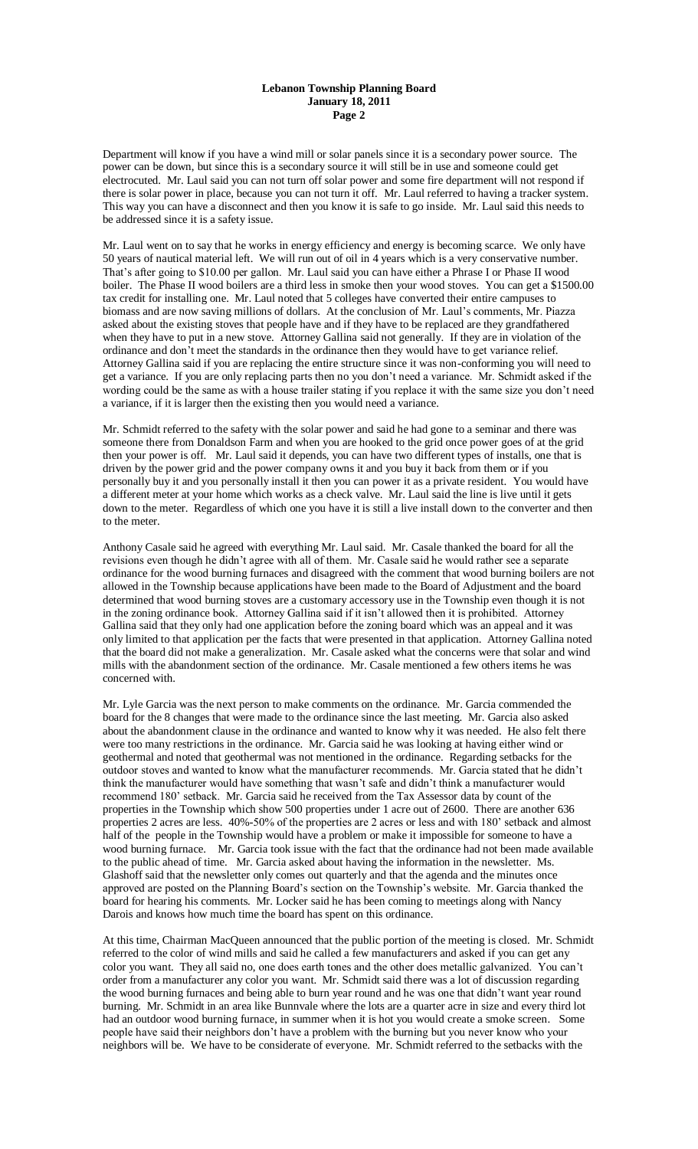#### **Lebanon Township Planning Board January 18, 2011 Page 2**

Department will know if you have a wind mill or solar panels since it is a secondary power source. The power can be down, but since this is a secondary source it will still be in use and someone could get electrocuted. Mr. Laul said you can not turn off solar power and some fire department will not respond if there is solar power in place, because you can not turn it off. Mr. Laul referred to having a tracker system. This way you can have a disconnect and then you know it is safe to go inside. Mr. Laul said this needs to be addressed since it is a safety issue.

Mr. Laul went on to say that he works in energy efficiency and energy is becoming scarce. We only have 50 years of nautical material left. We will run out of oil in 4 years which is a very conservative number. That's after going to \$10.00 per gallon. Mr. Laul said you can have either a Phrase I or Phase II wood boiler. The Phase II wood boilers are a third less in smoke then your wood stoves. You can get a \$1500.00 tax credit for installing one. Mr. Laul noted that 5 colleges have converted their entire campuses to biomass and are now saving millions of dollars. At the conclusion of Mr. Laul's comments, Mr. Piazza asked about the existing stoves that people have and if they have to be replaced are they grandfathered when they have to put in a new stove. Attorney Gallina said not generally. If they are in violation of the ordinance and don't meet the standards in the ordinance then they would have to get variance relief. Attorney Gallina said if you are replacing the entire structure since it was non-conforming you will need to get a variance. If you are only replacing parts then no you don't need a variance. Mr. Schmidt asked if the wording could be the same as with a house trailer stating if you replace it with the same size you don't need a variance, if it is larger then the existing then you would need a variance.

Mr. Schmidt referred to the safety with the solar power and said he had gone to a seminar and there was someone there from Donaldson Farm and when you are hooked to the grid once power goes of at the grid then your power is off. Mr. Laul said it depends, you can have two different types of installs, one that is driven by the power grid and the power company owns it and you buy it back from them or if you personally buy it and you personally install it then you can power it as a private resident. You would have a different meter at your home which works as a check valve. Mr. Laul said the line is live until it gets down to the meter. Regardless of which one you have it is still a live install down to the converter and then to the meter.

Anthony Casale said he agreed with everything Mr. Laul said. Mr. Casale thanked the board for all the revisions even though he didn't agree with all of them. Mr. Casale said he would rather see a separate ordinance for the wood burning furnaces and disagreed with the comment that wood burning boilers are not allowed in the Township because applications have been made to the Board of Adjustment and the board determined that wood burning stoves are a customary accessory use in the Township even though it is not in the zoning ordinance book. Attorney Gallina said if it isn't allowed then it is prohibited. Attorney Gallina said that they only had one application before the zoning board which was an appeal and it was only limited to that application per the facts that were presented in that application. Attorney Gallina noted that the board did not make a generalization. Mr. Casale asked what the concerns were that solar and wind mills with the abandonment section of the ordinance. Mr. Casale mentioned a few others items he was concerned with.

Mr. Lyle Garcia was the next person to make comments on the ordinance. Mr. Garcia commended the board for the 8 changes that were made to the ordinance since the last meeting. Mr. Garcia also asked about the abandonment clause in the ordinance and wanted to know why it was needed. He also felt there were too many restrictions in the ordinance. Mr. Garcia said he was looking at having either wind or geothermal and noted that geothermal was not mentioned in the ordinance. Regarding setbacks for the outdoor stoves and wanted to know what the manufacturer recommends. Mr. Garcia stated that he didn't think the manufacturer would have something that wasn't safe and didn't think a manufacturer would recommend 180' setback. Mr. Garcia said he received from the Tax Assessor data by count of the properties in the Township which show 500 properties under 1 acre out of 2600. There are another 636 properties 2 acres are less. 40%-50% of the properties are 2 acres or less and with 180' setback and almost half of the people in the Township would have a problem or make it impossible for someone to have a wood burning furnace. Mr. Garcia took issue with the fact that the ordinance had not been made available to the public ahead of time. Mr. Garcia asked about having the information in the newsletter. Ms. Glashoff said that the newsletter only comes out quarterly and that the agenda and the minutes once approved are posted on the Planning Board's section on the Township's website. Mr. Garcia thanked the board for hearing his comments. Mr. Locker said he has been coming to meetings along with Nancy Darois and knows how much time the board has spent on this ordinance.

At this time, Chairman MacQueen announced that the public portion of the meeting is closed. Mr. Schmidt referred to the color of wind mills and said he called a few manufacturers and asked if you can get any color you want. They all said no, one does earth tones and the other does metallic galvanized. You can't order from a manufacturer any color you want. Mr. Schmidt said there was a lot of discussion regarding the wood burning furnaces and being able to burn year round and he was one that didn't want year round burning. Mr. Schmidt in an area like Bunnvale where the lots are a quarter acre in size and every third lot had an outdoor wood burning furnace, in summer when it is hot you would create a smoke screen. Some people have said their neighbors don't have a problem with the burning but you never know who your neighbors will be. We have to be considerate of everyone. Mr. Schmidt referred to the setbacks with the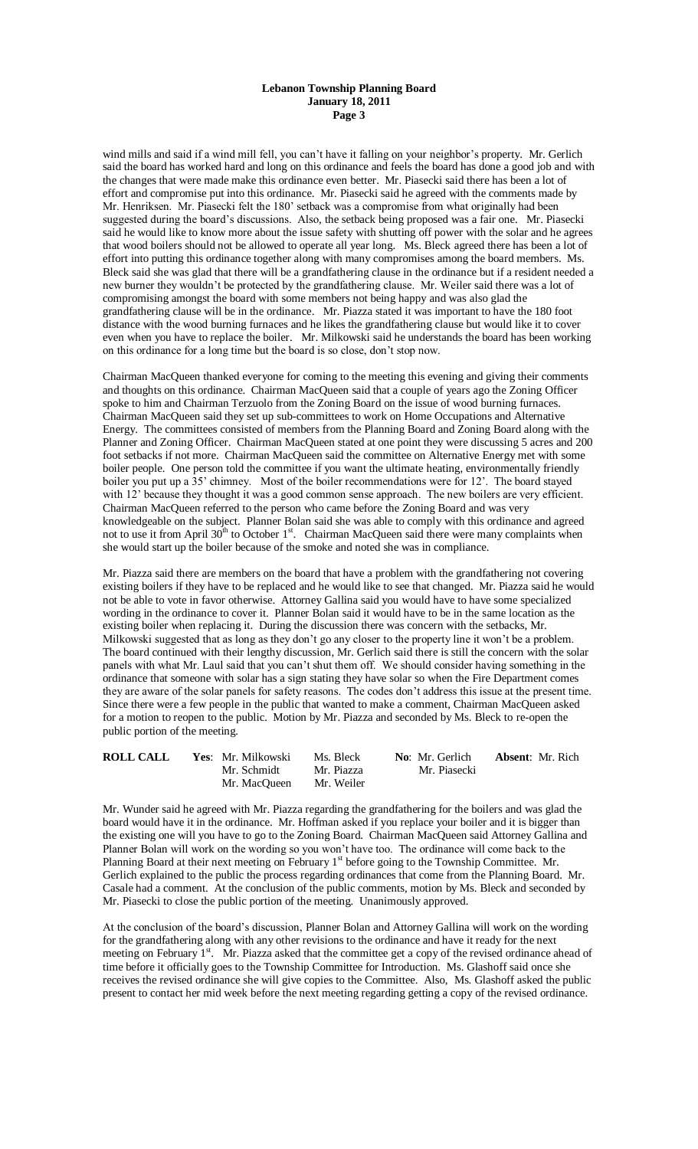### **Lebanon Township Planning Board January 18, 2011 Page 3**

wind mills and said if a wind mill fell, you can't have it falling on your neighbor's property. Mr. Gerlich said the board has worked hard and long on this ordinance and feels the board has done a good job and with the changes that were made make this ordinance even better. Mr. Piasecki said there has been a lot of effort and compromise put into this ordinance. Mr. Piasecki said he agreed with the comments made by Mr. Henriksen. Mr. Piasecki felt the 180' setback was a compromise from what originally had been suggested during the board's discussions. Also, the setback being proposed was a fair one. Mr. Piasecki said he would like to know more about the issue safety with shutting off power with the solar and he agrees that wood boilers should not be allowed to operate all year long. Ms. Bleck agreed there has been a lot of effort into putting this ordinance together along with many compromises among the board members. Ms. Bleck said she was glad that there will be a grandfathering clause in the ordinance but if a resident needed a new burner they wouldn't be protected by the grandfathering clause. Mr. Weiler said there was a lot of compromising amongst the board with some members not being happy and was also glad the grandfathering clause will be in the ordinance. Mr. Piazza stated it was important to have the 180 foot distance with the wood burning furnaces and he likes the grandfathering clause but would like it to cover even when you have to replace the boiler. Mr. Milkowski said he understands the board has been working on this ordinance for a long time but the board is so close, don't stop now.

Chairman MacQueen thanked everyone for coming to the meeting this evening and giving their comments and thoughts on this ordinance. Chairman MacQueen said that a couple of years ago the Zoning Officer spoke to him and Chairman Terzuolo from the Zoning Board on the issue of wood burning furnaces. Chairman MacQueen said they set up sub-committees to work on Home Occupations and Alternative Energy. The committees consisted of members from the Planning Board and Zoning Board along with the Planner and Zoning Officer. Chairman MacQueen stated at one point they were discussing 5 acres and 200 foot setbacks if not more. Chairman MacQueen said the committee on Alternative Energy met with some boiler people. One person told the committee if you want the ultimate heating, environmentally friendly boiler you put up a 35' chimney. Most of the boiler recommendations were for 12'. The board stayed with 12' because they thought it was a good common sense approach. The new boilers are very efficient. Chairman MacQueen referred to the person who came before the Zoning Board and was very knowledgeable on the subject. Planner Bolan said she was able to comply with this ordinance and agreed not to use it from April  $30^{th}$  to October 1<sup>st</sup>. Chairman MacQueen said there were many complaints when she would start up the boiler because of the smoke and noted she was in compliance.

Mr. Piazza said there are members on the board that have a problem with the grandfathering not covering existing boilers if they have to be replaced and he would like to see that changed. Mr. Piazza said he would not be able to vote in favor otherwise. Attorney Gallina said you would have to have some specialized wording in the ordinance to cover it. Planner Bolan said it would have to be in the same location as the existing boiler when replacing it. During the discussion there was concern with the setbacks, Mr. Milkowski suggested that as long as they don't go any closer to the property line it won't be a problem. The board continued with their lengthy discussion, Mr. Gerlich said there is still the concern with the solar panels with what Mr. Laul said that you can't shut them off. We should consider having something in the ordinance that someone with solar has a sign stating they have solar so when the Fire Department comes they are aware of the solar panels for safety reasons. The codes don't address this issue at the present time. Since there were a few people in the public that wanted to make a comment, Chairman MacQueen asked for a motion to reopen to the public. Motion by Mr. Piazza and seconded by Ms. Bleck to re-open the public portion of the meeting.

| <b>ROLL CALL</b> | <b>Yes:</b> Mr. Milkowski | Ms. Bleck  | No: Mr. Gerlich | <b>Absent</b> : Mr. Rich |
|------------------|---------------------------|------------|-----------------|--------------------------|
|                  | Mr. Schmidt               | Mr. Piazza | Mr. Piasecki    |                          |
|                  | Mr. MacOueen              | Mr. Weiler |                 |                          |

Mr. Wunder said he agreed with Mr. Piazza regarding the grandfathering for the boilers and was glad the board would have it in the ordinance. Mr. Hoffman asked if you replace your boiler and it is bigger than the existing one will you have to go to the Zoning Board. Chairman MacQueen said Attorney Gallina and Planner Bolan will work on the wording so you won't have too. The ordinance will come back to the Planning Board at their next meeting on February  $1<sup>st</sup>$  before going to the Township Committee. Mr. Gerlich explained to the public the process regarding ordinances that come from the Planning Board. Mr. Casale had a comment. At the conclusion of the public comments, motion by Ms. Bleck and seconded by Mr. Piasecki to close the public portion of the meeting. Unanimously approved.

At the conclusion of the board's discussion, Planner Bolan and Attorney Gallina will work on the wording for the grandfathering along with any other revisions to the ordinance and have it ready for the next meeting on February 1<sup>st</sup>. Mr. Piazza asked that the committee get a copy of the revised ordinance ahead of time before it officially goes to the Township Committee for Introduction. Ms. Glashoff said once she receives the revised ordinance she will give copies to the Committee. Also, Ms. Glashoff asked the public present to contact her mid week before the next meeting regarding getting a copy of the revised ordinance.